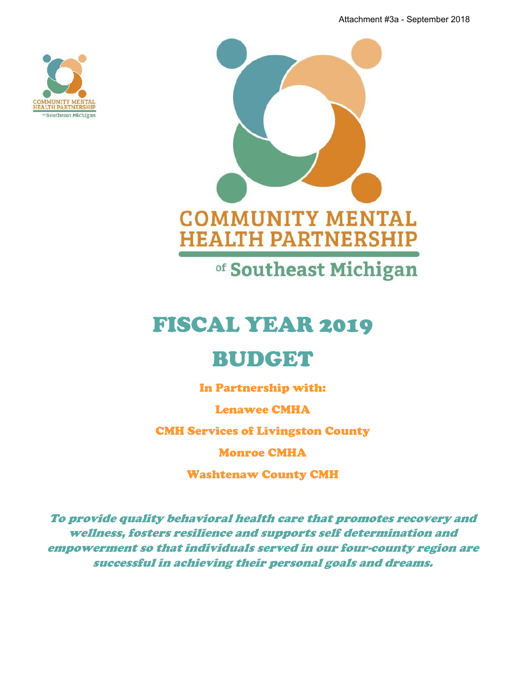Attachment #3a - September 2018





# FISCAL YEAR 2019

# BUDGET

In Partnership with:

Lenawee CMHA

CMH Services of Livingston County

Monroe CMHA

Washtenaw County CMH

*To provide quality behavioral health care that promotes recovery and wellness, fosters resilience and supports self determination and empowerment so that individuals served in our four-county region are successful in achieving their personal goals and dreams.*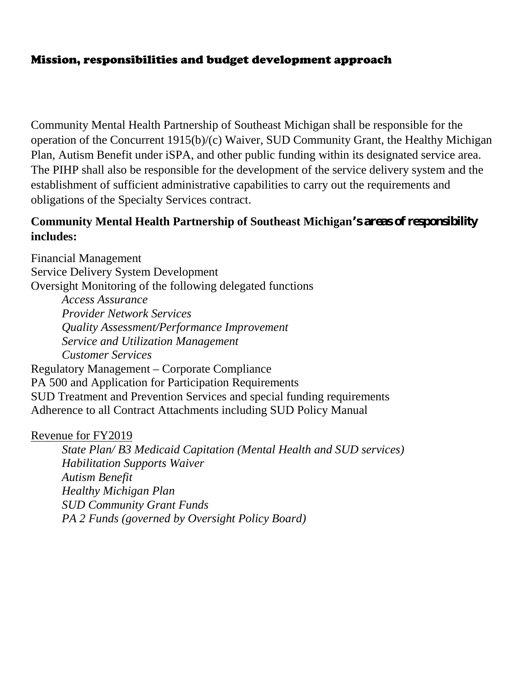# Mission, responsibilities and budget development approach

Community Mental Health Partnership of Southeast Michigan shall be responsible for the operation of the Concurrent 1915(b)/(c) Waiver, SUD Community Grant, the Healthy Michigan Plan, Autism Benefit under iSPA, and other public funding within its designated service area. The PIHP shall also be responsible for the development of the service delivery system and the establishment of sufficient administrative capabilities to carry out the requirements and obligations of the Specialty Services contract.

## **Community Mental Health Partnership of Southeast Michigan's areas of responsibility includes:**

Financial Management Service Delivery System Development Oversight Monitoring of the following delegated functions *Access Assurance Provider Network Services Quality Assessment/Performance Improvement Service and Utilization Management Customer Services* Regulatory Management – Corporate Compliance PA 500 and Application for Participation Requirements SUD Treatment and Prevention Services and special funding requirements Adherence to all Contract Attachments including SUD Policy Manual

### Revenue for FY2019

*State Plan/ B3 Medicaid Capitation (Mental Health and SUD services) Habilitation Supports Waiver Autism Benefit Healthy Michigan Plan SUD Community Grant Funds PA 2 Funds (governed by Oversight Policy Board)*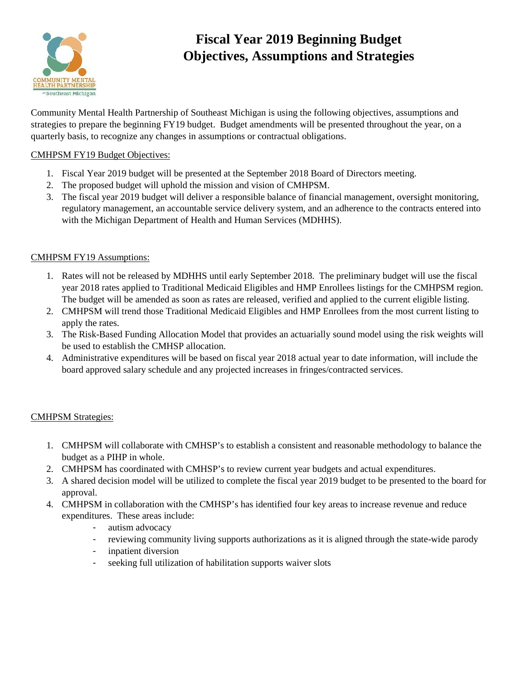

# **Fiscal Year 2019 Beginning Budget Objectives, Assumptions and Strategies**

Community Mental Health Partnership of Southeast Michigan is using the following objectives, assumptions and strategies to prepare the beginning FY19 budget. Budget amendments will be presented throughout the year, on a quarterly basis, to recognize any changes in assumptions or contractual obligations.

#### CMHPSM FY19 Budget Objectives:

- 1. Fiscal Year 2019 budget will be presented at the September 2018 Board of Directors meeting.
- 2. The proposed budget will uphold the mission and vision of CMHPSM.
- 3. The fiscal year 2019 budget will deliver a responsible balance of financial management, oversight monitoring, regulatory management, an accountable service delivery system, and an adherence to the contracts entered into with the Michigan Department of Health and Human Services (MDHHS).

#### CMHPSM FY19 Assumptions:

- 1. Rates will not be released by MDHHS until early September 2018. The preliminary budget will use the fiscal year 2018 rates applied to Traditional Medicaid Eligibles and HMP Enrollees listings for the CMHPSM region. The budget will be amended as soon as rates are released, verified and applied to the current eligible listing.
- 2. CMHPSM will trend those Traditional Medicaid Eligibles and HMP Enrollees from the most current listing to apply the rates.
- 3. The Risk-Based Funding Allocation Model that provides an actuarially sound model using the risk weights will be used to establish the CMHSP allocation.
- 4. Administrative expenditures will be based on fiscal year 2018 actual year to date information, will include the board approved salary schedule and any projected increases in fringes/contracted services.

#### CMHPSM Strategies:

- 1. CMHPSM will collaborate with CMHSP's to establish a consistent and reasonable methodology to balance the budget as a PIHP in whole.
- 2. CMHPSM has coordinated with CMHSP's to review current year budgets and actual expenditures.
- 3. A shared decision model will be utilized to complete the fiscal year 2019 budget to be presented to the board for approval.
- 4. CMHPSM in collaboration with the CMHSP's has identified four key areas to increase revenue and reduce expenditures. These areas include:
	- autism advocacy
	- reviewing community living supports authorizations as it is aligned through the state-wide parody
	- inpatient diversion
	- seeking full utilization of habilitation supports waiver slots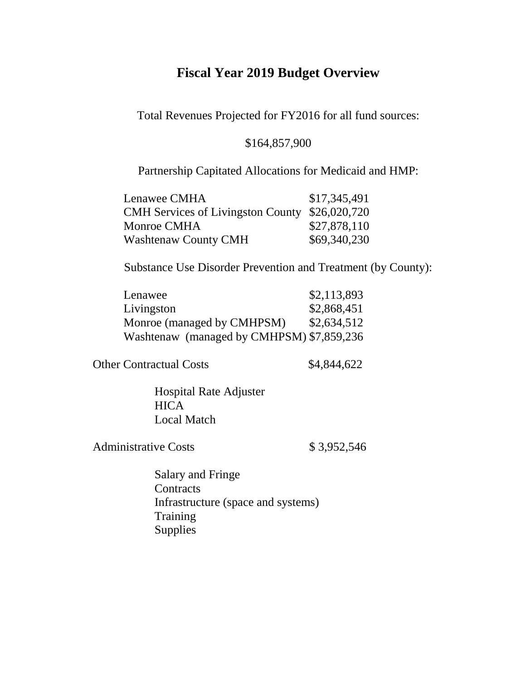# **Fiscal Year 2019 Budget Overview**

Total Revenues Projected for FY2016 for all fund sources:

## \$164,857,900

### Partnership Capitated Allocations for Medicaid and HMP:

| Lenawee CMHA                                   | \$17,345,491 |
|------------------------------------------------|--------------|
| CMH Services of Livingston County \$26,020,720 |              |
| Monroe CMHA                                    | \$27,878,110 |
| <b>Washtenaw County CMH</b>                    | \$69,340,230 |

Substance Use Disorder Prevention and Treatment (by County):

| Lenawee                                   | \$2,113,893 |
|-------------------------------------------|-------------|
| Livingston                                | \$2,868,451 |
| Monroe (managed by CMHPSM)                | \$2,634,512 |
| Washtenaw (managed by CMHPSM) \$7,859,236 |             |

Other Contractual Costs \$4,844,622

Hospital Rate Adjuster **HICA** Local Match

Administrative Costs \$3,952,546

Salary and Fringe **Contracts** Infrastructure (space and systems) **Training** Supplies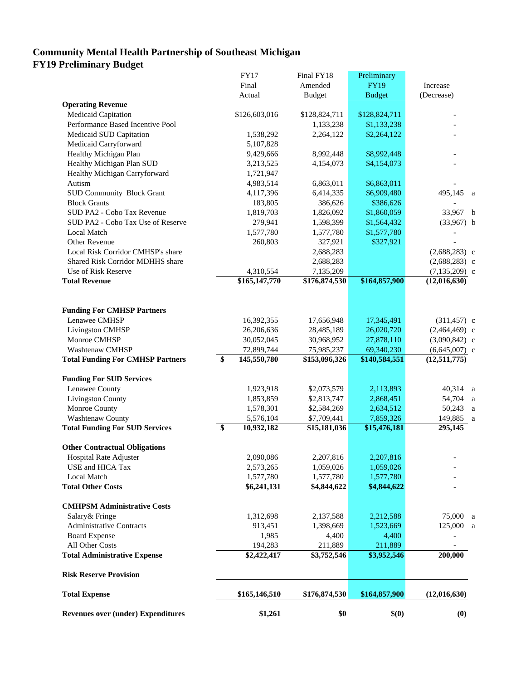#### **Community Mental Health Partnership of Southeast Michigan FY19 Preliminary Budget**

| <b>Revenues over (under) Expenditures</b> | \$1,261                    | \$0                        | \$(0)         | (0)                               |   |
|-------------------------------------------|----------------------------|----------------------------|---------------|-----------------------------------|---|
| <b>Total Expense</b>                      | \$165,146,510              | \$176,874,530              | \$164,857,900 | (12,016,630)                      |   |
| <b>Risk Reserve Provision</b>             |                            |                            |               |                                   |   |
| <b>Total Administrative Expense</b>       | $\overline{$2,422,417}$    | \$3,752,546                | \$3,952,546   | 200,000                           |   |
| All Other Costs                           | 194,283                    | 211,889                    | 211,889       |                                   |   |
| <b>Board Expense</b>                      | 1,985                      | 4,400                      | 4,400         |                                   |   |
| <b>Administrative Contracts</b>           | 913,451                    | 1,398,669                  | 1,523,669     | 125,000 a                         |   |
| Salary & Fringe                           | 1,312,698                  | 2,137,588                  | 2,212,588     | 75,000                            | a |
| <b>CMHPSM Administrative Costs</b>        |                            |                            |               |                                   |   |
|                                           |                            |                            |               |                                   |   |
| <b>Total Other Costs</b>                  | \$6,241,131                | \$4,844,622                | \$4,844,622   |                                   |   |
| Local Match                               | 1,577,780                  | 1,577,780                  | 1,577,780     |                                   |   |
| USE and HICA Tax                          | 2,573,265                  | 1,059,026                  | 1,059,026     |                                   |   |
| <b>Hospital Rate Adjuster</b>             | 2,090,086                  | 2,207,816                  | 2,207,816     |                                   |   |
| <b>Other Contractual Obligations</b>      |                            |                            |               |                                   |   |
| <b>Total Funding For SUD Services</b>     | 10,932,182<br>\$           | \$15,181,036               | \$15,476,181  | 295,145                           |   |
| <b>Washtenaw County</b>                   | 5,576,104                  | \$7,709,441                | 7,859,326     | 149,885                           | a |
| Monroe County                             | 1,578,301                  | \$2,584,269                | 2,634,512     | 50,243                            | a |
| <b>Livingston County</b>                  | 1,853,859                  | \$2,813,747                | 2,868,451     | 54,704                            | a |
| Lenawee County                            | 1,923,918                  | \$2,073,579                | 2,113,893     | 40,314 a                          |   |
| <b>Funding For SUD Services</b>           |                            |                            |               |                                   |   |
|                                           |                            |                            |               |                                   |   |
| <b>Total Funding For CMHSP Partners</b>   | \$<br>145,550,780          | \$153,096,326              | \$140,584,551 | (12, 511, 775)                    |   |
| Washtenaw CMHSP                           | 72,899,744                 | 75,985,237                 | 69,340,230    | $(6,645,007)$ c                   |   |
| Monroe CMHSP                              | 30,052,045                 | 30,968,952                 | 27,878,110    | $(3,090,842)$ c                   |   |
| Livingston CMHSP                          | 26,206,636                 | 28,485,189                 | 26,020,720    | $(2,464,469)$ c                   |   |
| Lenawee CMHSP                             | 16,392,355                 | 17,656,948                 | 17,345,491    | $(311, 457)$ c                    |   |
| <b>Funding For CMHSP Partners</b>         |                            |                            |               |                                   |   |
|                                           |                            |                            |               |                                   |   |
| <b>Total Revenue</b>                      |                            |                            |               |                                   |   |
| Use of Risk Reserve                       | 4,310,554<br>\$165,147,770 | 7,135,209<br>\$176,874,530 | \$164,857,900 | $(7, 135, 209)$ c<br>(12,016,630) |   |
| Shared Risk Corridor MDHHS share          |                            | 2,688,283                  |               | $(2,688,283)$ c                   |   |
| Local Risk Corridor CMHSP's share         |                            | 2,688,283                  |               | $(2,688,283)$ c                   |   |
| Other Revenue                             | 260,803                    | 327,921                    | \$327,921     |                                   |   |
| Local Match                               | 1,577,780                  | 1,577,780                  | \$1,577,780   |                                   |   |
| SUD PA2 - Cobo Tax Use of Reserve         | 279,941                    | 1,598,399                  | \$1,564,432   | $(33,967)$ b                      |   |
| SUD PA2 - Cobo Tax Revenue                | 1,819,703                  | 1,826,092                  | \$1,860,059   | 33,967 b                          |   |
| <b>Block Grants</b>                       | 183,805                    | 386,626                    | \$386,626     |                                   |   |
| <b>SUD Community Block Grant</b>          | 4,117,396                  | 6,414,335                  | \$6,909,480   | 495,145 a                         |   |
| Autism                                    | 4,983,514                  | 6,863,011                  | \$6,863,011   |                                   |   |
| Healthy Michigan Carryforward             | 1,721,947                  |                            |               |                                   |   |
| Healthy Michigan Plan SUD                 | 3,213,525                  | 4,154,073                  | \$4,154,073   |                                   |   |
| Healthy Michigan Plan                     | 9,429,666                  | 8,992,448                  | \$8,992,448   |                                   |   |
| Medicaid Carryforward                     | 5,107,828                  |                            |               |                                   |   |
| Medicaid SUD Capitation                   | 1,538,292                  | 2,264,122                  | \$2,264,122   |                                   |   |
| Performance Based Incentive Pool          |                            | 1,133,238                  | \$1,133,238   |                                   |   |
| Medicaid Capitation                       | \$126,603,016              | \$128,824,711              | \$128,824,711 |                                   |   |
| <b>Operating Revenue</b>                  | Actual                     | <b>Budget</b>              | <b>Budget</b> | (Decrease)                        |   |
|                                           | Final                      | Amended                    | <b>FY19</b>   | Increase                          |   |
|                                           | <b>FY17</b>                | Final FY18                 | Preliminary   |                                   |   |